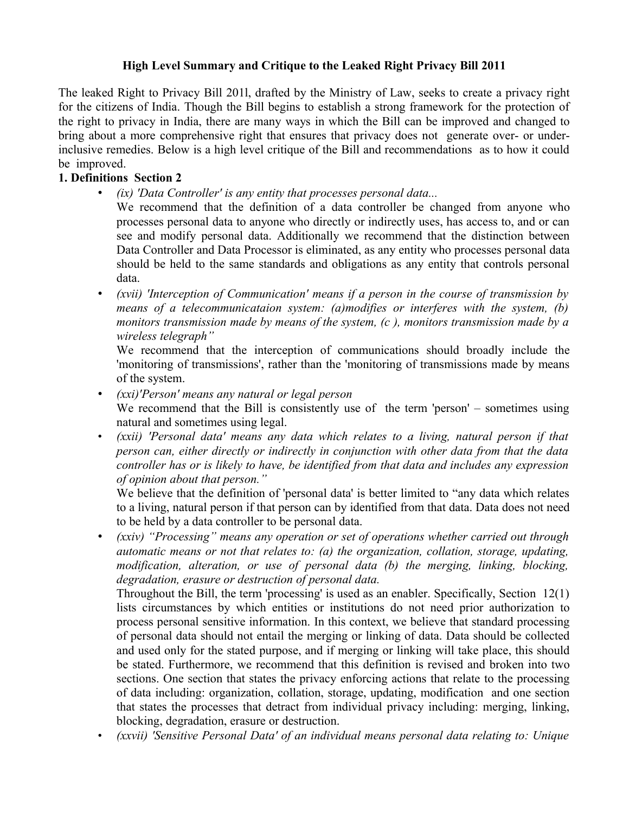## **High Level Summary and Critique to the Leaked Right Privacy Bill 2011**

The leaked Right to Privacy Bill 201l, drafted by the Ministry of Law, seeks to create a privacy right for the citizens of India. Though the Bill begins to establish a strong framework for the protection of the right to privacy in India, there are many ways in which the Bill can be improved and changed to bring about a more comprehensive right that ensures that privacy does not generate over- or underinclusive remedies. Below is a high level critique of the Bill and recommendations as to how it could be improved.

## **1. Definitions Section 2**

• *(ix) 'Data Controller' is any entity that processes personal data...*

We recommend that the definition of a data controller be changed from anyone who processes personal data to anyone who directly or indirectly uses, has access to, and or can see and modify personal data. Additionally we recommend that the distinction between Data Controller and Data Processor is eliminated, as any entity who processes personal data should be held to the same standards and obligations as any entity that controls personal data.

• *(xvii) 'Interception of Communication' means if a person in the course of transmission by means of a telecommunicataion system: (a)modifies or interferes with the system, (b) monitors transmission made by means of the system, (c ), monitors transmission made by a wireless telegraph"* 

We recommend that the interception of communications should broadly include the 'monitoring of transmissions', rather than the 'monitoring of transmissions made by means of the system.

- *(xxi)'Person' means any natural or legal person* We recommend that the Bill is consistently use of the term 'person' – sometimes using natural and sometimes using legal.
- *(xxii) 'Personal data' means any data which relates to a living, natural person if that person can, either directly or indirectly in conjunction with other data from that the data controller has or is likely to have, be identified from that data and includes any expression of opinion about that person."*

We believe that the definition of 'personal data' is better limited to "any data which relates to a living, natural person if that person can by identified from that data. Data does not need to be held by a data controller to be personal data.

• *(xxiv) "Processing" means any operation or set of operations whether carried out through automatic means or not that relates to: (a) the organization, collation, storage, updating, modification, alteration, or use of personal data (b) the merging, linking, blocking, degradation, erasure or destruction of personal data.* 

Throughout the Bill, the term 'processing' is used as an enabler. Specifically, Section 12(1) lists circumstances by which entities or institutions do not need prior authorization to process personal sensitive information. In this context, we believe that standard processing of personal data should not entail the merging or linking of data. Data should be collected and used only for the stated purpose, and if merging or linking will take place, this should be stated. Furthermore, we recommend that this definition is revised and broken into two sections. One section that states the privacy enforcing actions that relate to the processing of data including: organization, collation, storage, updating, modification and one section that states the processes that detract from individual privacy including: merging, linking, blocking, degradation, erasure or destruction.

• *(xxvii) 'Sensitive Personal Data' of an individual means personal data relating to: Unique*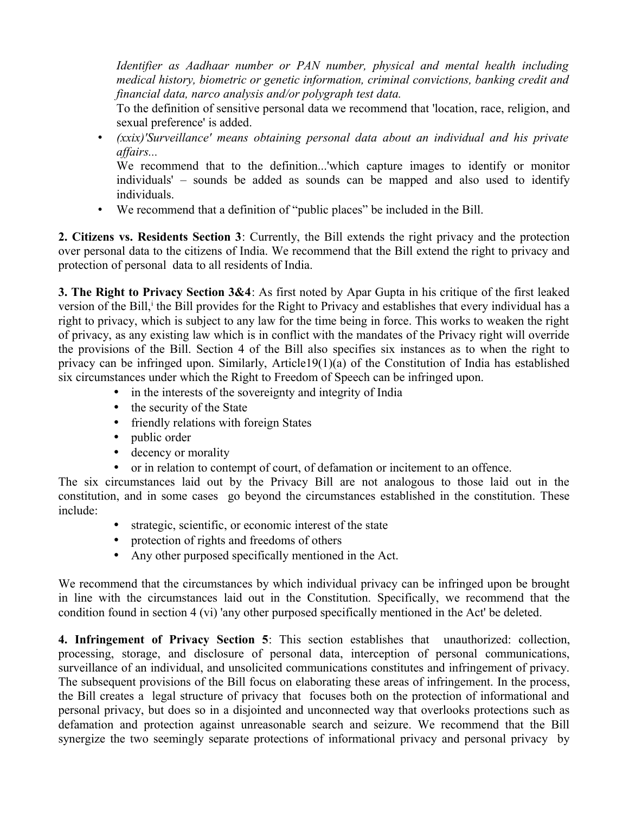*Identifier as Aadhaar number or PAN number, physical and mental health including medical history, biometric or genetic information, criminal convictions, banking credit and financial data, narco analysis and/or polygraph test data.* 

To the definition of sensitive personal data we recommend that 'location, race, religion, and sexual preference' is added.

• *(xxix)'Surveillance' means obtaining personal data about an individual and his private affairs...*

We recommend that to the definition...'which capture images to identify or monitor individuals' – sounds be added as sounds can be mapped and also used to identify individuals.

• We recommend that a definition of "public places" be included in the Bill.

**2. Citizens vs. Residents Section 3**: Currently, the Bill extends the right privacy and the protection over personal data to the citizens of India. We recommend that the Bill extend the right to privacy and protection of personal data to all residents of India.

**3. The Right to Privacy Section 3&4**: As first noted by Apar Gupta in his critique of the first leaked vers[i](#page-5-0)on of the Bill, the Bill provides for the Right to Privacy and establishes that every individual has a right to privacy, which is subject to any law for the time being in force. This works to weaken the right of privacy, as any existing law which is in conflict with the mandates of the Privacy right will override the provisions of the Bill. Section 4 of the Bill also specifies six instances as to when the right to privacy can be infringed upon. Similarly, Article19(1)(a) of the Constitution of India has established six circumstances under which the Right to Freedom of Speech can be infringed upon.

- in the interests of the sovereignty and integrity of India
- the security of the State
- friendly relations with foreign States
- public order
- decency or morality
- or in relation to contempt of court, of defamation or incitement to an offence.

The six circumstances laid out by the Privacy Bill are not analogous to those laid out in the constitution, and in some cases go beyond the circumstances established in the constitution. These include:

- strategic, scientific, or economic interest of the state
- protection of rights and freedoms of others
- Any other purposed specifically mentioned in the Act.

We recommend that the circumstances by which individual privacy can be infringed upon be brought in line with the circumstances laid out in the Constitution. Specifically, we recommend that the condition found in section 4 (vi) 'any other purposed specifically mentioned in the Act' be deleted.

**4. Infringement of Privacy Section 5**: This section establishes that unauthorized: collection, processing, storage, and disclosure of personal data, interception of personal communications, surveillance of an individual, and unsolicited communications constitutes and infringement of privacy. The subsequent provisions of the Bill focus on elaborating these areas of infringement. In the process, the Bill creates a legal structure of privacy that focuses both on the protection of informational and personal privacy, but does so in a disjointed and unconnected way that overlooks protections such as defamation and protection against unreasonable search and seizure. We recommend that the Bill synergize the two seemingly separate protections of informational privacy and personal privacy by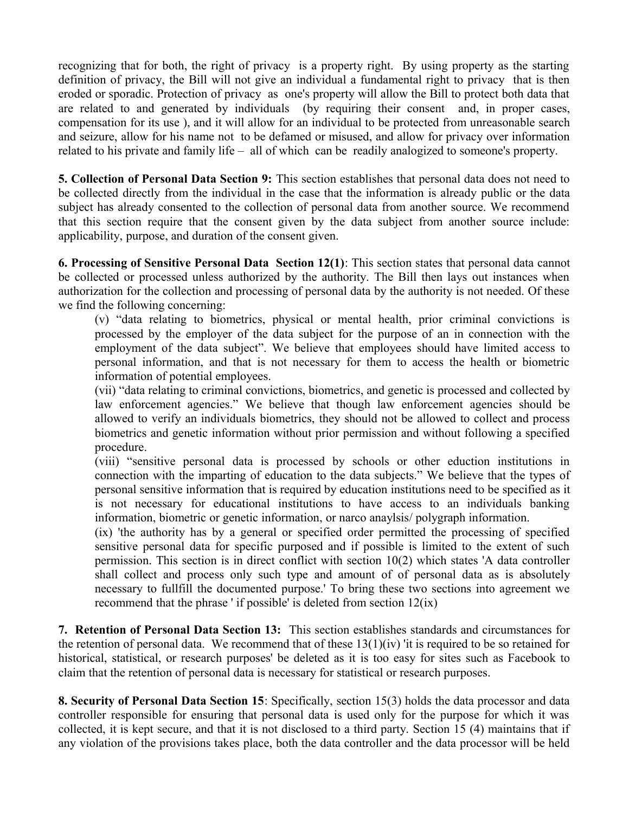recognizing that for both, the right of privacy is a property right. By using property as the starting definition of privacy, the Bill will not give an individual a fundamental right to privacy that is then eroded or sporadic. Protection of privacy as one's property will allow the Bill to protect both data that are related to and generated by individuals (by requiring their consent and, in proper cases, compensation for its use ), and it will allow for an individual to be protected from unreasonable search and seizure, allow for his name not to be defamed or misused, and allow for privacy over information related to his private and family life – all of which can be readily analogized to someone's property.

**5. Collection of Personal Data Section 9:** This section establishes that personal data does not need to be collected directly from the individual in the case that the information is already public or the data subject has already consented to the collection of personal data from another source. We recommend that this section require that the consent given by the data subject from another source include: applicability, purpose, and duration of the consent given.

**6. Processing of Sensitive Personal Data Section 12(1)**: This section states that personal data cannot be collected or processed unless authorized by the authority. The Bill then lays out instances when authorization for the collection and processing of personal data by the authority is not needed. Of these we find the following concerning:

(v) "data relating to biometrics, physical or mental health, prior criminal convictions is processed by the employer of the data subject for the purpose of an in connection with the employment of the data subject". We believe that employees should have limited access to personal information, and that is not necessary for them to access the health or biometric information of potential employees.

(vii) "data relating to criminal convictions, biometrics, and genetic is processed and collected by law enforcement agencies." We believe that though law enforcement agencies should be allowed to verify an individuals biometrics, they should not be allowed to collect and process biometrics and genetic information without prior permission and without following a specified procedure.

(viii) "sensitive personal data is processed by schools or other eduction institutions in connection with the imparting of education to the data subjects." We believe that the types of personal sensitive information that is required by education institutions need to be specified as it is not necessary for educational institutions to have access to an individuals banking information, biometric or genetic information, or narco anaylsis/ polygraph information.

(ix) 'the authority has by a general or specified order permitted the processing of specified sensitive personal data for specific purposed and if possible is limited to the extent of such permission. This section is in direct conflict with section 10(2) which states 'A data controller shall collect and process only such type and amount of of personal data as is absolutely necessary to fullfill the documented purpose.' To bring these two sections into agreement we recommend that the phrase ' if possible' is deleted from section 12(ix)

**7. Retention of Personal Data Section 13:** This section establishes standards and circumstances for the retention of personal data. We recommend that of these  $13(1)(iv)$  'it is required to be so retained for historical, statistical, or research purposes' be deleted as it is too easy for sites such as Facebook to claim that the retention of personal data is necessary for statistical or research purposes.

**8. Security of Personal Data Section 15**: Specifically, section 15(3) holds the data processor and data controller responsible for ensuring that personal data is used only for the purpose for which it was collected, it is kept secure, and that it is not disclosed to a third party. Section 15 (4) maintains that if any violation of the provisions takes place, both the data controller and the data processor will be held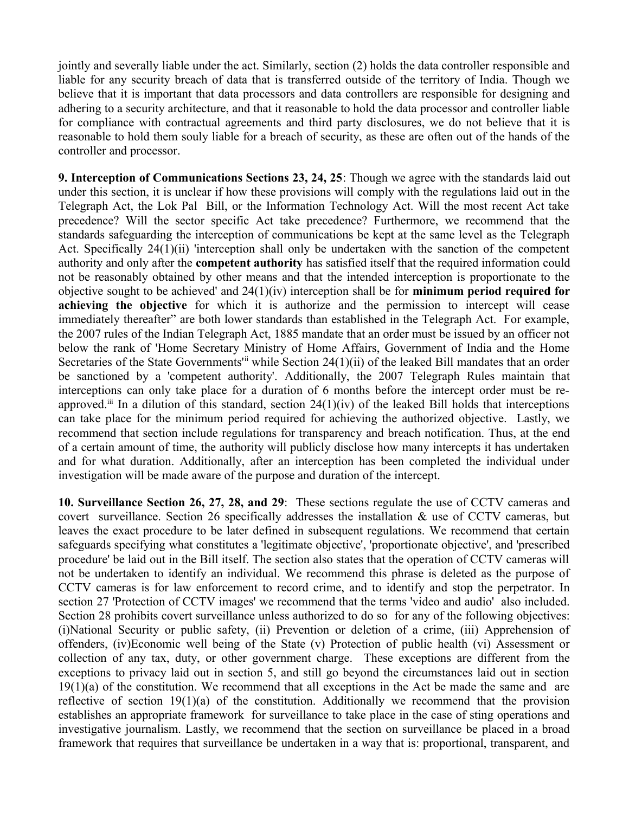jointly and severally liable under the act. Similarly, section (2) holds the data controller responsible and liable for any security breach of data that is transferred outside of the territory of India. Though we believe that it is important that data processors and data controllers are responsible for designing and adhering to a security architecture, and that it reasonable to hold the data processor and controller liable for compliance with contractual agreements and third party disclosures, we do not believe that it is reasonable to hold them souly liable for a breach of security, as these are often out of the hands of the controller and processor.

**9. Interception of Communications Sections 23, 24, 25**: Though we agree with the standards laid out under this section, it is unclear if how these provisions will comply with the regulations laid out in the Telegraph Act, the Lok Pal Bill, or the Information Technology Act. Will the most recent Act take precedence? Will the sector specific Act take precedence? Furthermore, we recommend that the standards safeguarding the interception of communications be kept at the same level as the Telegraph Act. Specifically 24(1)(ii) 'interception shall only be undertaken with the sanction of the competent authority and only after the **competent authority** has satisfied itself that the required information could not be reasonably obtained by other means and that the intended interception is proportionate to the objective sought to be achieved' and 24(1)(iv) interception shall be for **minimum period required for achieving the objective** for which it is authorize and the permission to intercept will cease immediately thereafter" are both lower standards than established in the Telegraph Act. For example, the 2007 rules of the Indian Telegraph Act, 1885 mandate that an order must be issued by an officer not below the rank of 'Home Secretary Ministry of Home Affairs, Government of India and the Home Secretaries of the State Governments<sup>'[ii](#page-5-1)</sup> while Section 24(1)(ii) of the leaked Bill mandates that an order be sanctioned by a 'competent authority'. Additionally, the 2007 Telegraph Rules maintain that interceptions can only take place for a duration of 6 months before the intercept order must be reapproved.<sup>[iii](#page-5-2)</sup> In a dilution of this standard, section  $24(1)(iv)$  of the leaked Bill holds that interceptions can take place for the minimum period required for achieving the authorized objective. Lastly, we recommend that section include regulations for transparency and breach notification. Thus, at the end of a certain amount of time, the authority will publicly disclose how many intercepts it has undertaken and for what duration. Additionally, after an interception has been completed the individual under investigation will be made aware of the purpose and duration of the intercept.

**10. Surveillance Section 26, 27, 28, and 29**: These sections regulate the use of CCTV cameras and covert surveillance. Section 26 specifically addresses the installation & use of CCTV cameras, but leaves the exact procedure to be later defined in subsequent regulations. We recommend that certain safeguards specifying what constitutes a 'legitimate objective', 'proportionate objective', and 'prescribed procedure' be laid out in the Bill itself. The section also states that the operation of CCTV cameras will not be undertaken to identify an individual. We recommend this phrase is deleted as the purpose of CCTV cameras is for law enforcement to record crime, and to identify and stop the perpetrator. In section 27 'Protection of CCTV images' we recommend that the terms 'video and audio' also included. Section 28 prohibits covert surveillance unless authorized to do so for any of the following objectives: (i)National Security or public safety, (ii) Prevention or deletion of a crime, (iii) Apprehension of offenders, (iv)Economic well being of the State (v) Protection of public health (vi) Assessment or collection of any tax, duty, or other government charge. These exceptions are different from the exceptions to privacy laid out in section 5, and still go beyond the circumstances laid out in section  $19(1)(a)$  of the constitution. We recommend that all exceptions in the Act be made the same and are reflective of section 19(1)(a) of the constitution. Additionally we recommend that the provision establishes an appropriate framework for surveillance to take place in the case of sting operations and investigative journalism. Lastly, we recommend that the section on surveillance be placed in a broad framework that requires that surveillance be undertaken in a way that is: proportional, transparent, and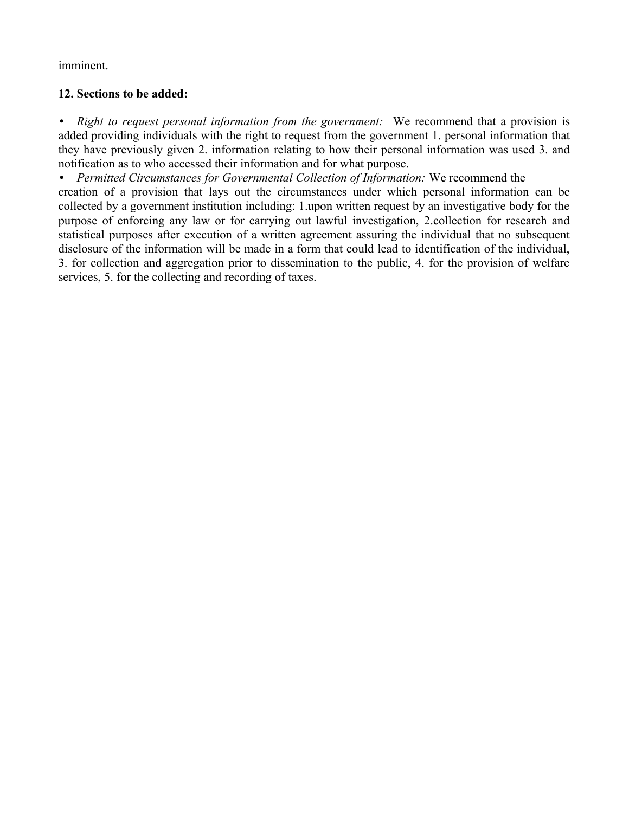imminent.

## **12. Sections to be added:**

• *Right to request personal information from the government:* We recommend that a provision is added providing individuals with the right to request from the government 1. personal information that they have previously given 2. information relating to how their personal information was used 3. and notification as to who accessed their information and for what purpose.

• *Permitted Circumstances for Governmental Collection of Information:* We recommend the creation of a provision that lays out the circumstances under which personal information can be collected by a government institution including: 1.upon written request by an investigative body for the purpose of enforcing any law or for carrying out lawful investigation, 2.collection for research and statistical purposes after execution of a written agreement assuring the individual that no subsequent disclosure of the information will be made in a form that could lead to identification of the individual, 3. for collection and aggregation prior to dissemination to the public, 4. for the provision of welfare services, 5. for the collecting and recording of taxes.